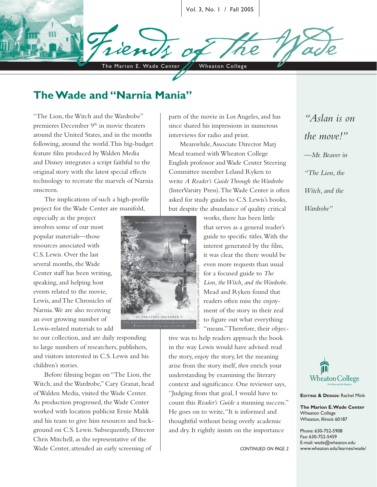Vol. 3, No. 1 / Fall 2005

# **The Wade and "Narnia Mania"**

The Marion E. Wade Center / Wheaton College

"The Lion, the Witch and the Wardrobe" premieres December 9<sup>th</sup> in movie theaters around the United States, and in the months following, around the world. This big-budget feature film produced by Walden Media and Disney integrates a script faithful to the original story with the latest special effects technology to recreate the marvels of Narnia onscreen.

The implications of such a high-profile project for the Wade Center are manifold,

especially as the project involves some of our most popular materials—those resources associated with C.S. Lewis. Over the last several months, the Wade Center staff has been writing, speaking, and helping host events related to the movie, Lewis, and The Chronicles of Narnia. We are also receiving an ever growing number of Lewis-related materials to add

to our collection, and are daily responding to large numbers of researchers, publishers, and visitors interested in C.S. Lewis and his children's stories.

Before filming began on "The Lion, the Witch, and the Wardrobe," Cary Granat, head of Walden Media, visited the Wade Center. As production progressed, the Wade Center worked with location publicist Ernie Malik and his team to give him resources and background on C.S. Lewis. Subsequently, Director Chris Mitchell, as the representative of the Wade Center, attended an early screening of

parts of the movie in Los Angeles, and has since shared his impressions in numerous interviews for radio and print.

Meanwhile, Associate Director Marj Mead teamed with Wheaton College English professor and Wade Center Steering Committee member Leland Ryken to write *A Reader's Guide Through the Wardrobe*  (InterVarsity Press). The Wade Center is often asked for study guides to C.S. Lewis's books, but despite the abundance of quality critical

> works, there has been little that serves as a general reader's guide to specific titles. With the interest generated by the film, it was clear the there would be even more requests than usual for a focused guide to *The Lion, the Witch, and the Wardrobe* . Mead and Ryken found that readers often miss the enjoyment of the story in their zeal to figure out what everything "means." Therefore, their objec-

tive was to help readers approach the book in the way Lewis would have advised: read the story, enjoy the story, let the meaning arise from the story itself, *then* enrich your understanding by examining the literary context and significance. One reviewer says, "Judging from that goal, I would have to count this *Reader's Guide* a stunning success." He goes on to write, "It is informed and thoughtful without being overly academic From the extended guide to *The*<br>  $\frac{1}{2}$  *Lion, the Witch, and the Wardrobe*<br>  $\frac{1}{2}$  *Mead and Ryken found that*<br>
readers often miss the enjoy-<br>
ment of the story in their zeal<br>
to figure out what everything<br>
"means

*CONTINUED ON PAGE 2*

*"Aslan is on the move!" —Mr. Beaver in "The Lion, the Witch, and the Wardrobe"*



**EDITING & DESIGN:** Rachel Mink

**The Marion E. Wade Center** Wheaton College Wheaton, Illinois 60187

Phone: 630-752-5908 Fax: 630-752-5459 E-mail: wade@wheaton.edu www.wheaton.edu/learnes/wade/

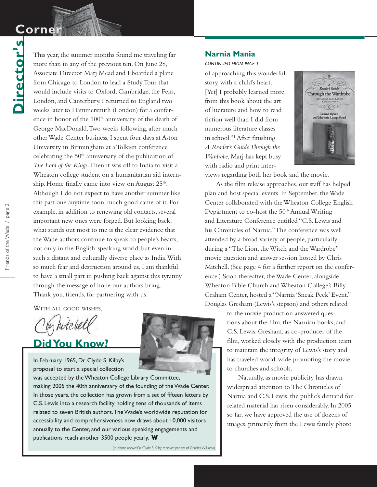## **Corner Corner**

Director's **Director's**

This year, the summer months found me traveling far more than in any of the previous ten. On June 28, Associate Director Marj Mead and I boarded a plane from Chicago to London to lead a Study Tour that would include visits to Oxford, Cambridge, the Fens, London, and Canterbury. I returned to England two weeks later to Hammersmith (London) for a conference in honor of the 100<sup>th</sup> anniversary of the death of George MacDonald. Two weeks following, after much other Wade Center business, I spent four days at Aston University in Birmingham at a Tolkien conference celebrating the  $50<sup>th</sup>$  anniversary of the publication of *The Lord of the Rings* . Then it was off to India to visit a Wheaton college student on a humanitarian aid internship. Home finally came into view on August  $25<sup>th</sup>$ . Although I do not expect to have another summer like this past one anytime soon, much good came of it. For example, in addition to renewing old contacts, several important new ones were forged. But looking back, what stands out most to me is the clear evidence that the Wade authors continue to speak to people's hearts, not only in the English-speaking world, but even in such a distant and culturally diverse place as India. With so much fear and destruction around us, I am thankful to have a small part in pushing back against this tyranny through the message of hope our authors bring. Thank you, friends, for partnering with us.

WITH ALL GOOD WISHES,

In hitchel

### **Did You Know?**

In February 1965, Dr. Clyde S. Kilby's proposal to start a special collection

was accepted by the Wheaton College Library Committee, making 2005 the 40th anniversary of the founding of the Wade Center. In those years, the collection has grown from a set of fifteen letters by C.S. Lewis into a research facility holding tens of thousands of items related to seven British authors. The Wade's worldwide reputation for accessibility and comprehensiveness now draws about 10,000 visitors annually to the Center, and our various speaking engagements and publications reach another 3500 people yearly. **W**

#### **Narnia Mania**

*CONTINUED FROM PAGE 1*

of approaching this wonderful story with a child's heart. [Yet] I probably learned more from this book about the art of literature and how to read fiction well than I did from numerous literature classes in school."<sup>1</sup> After finishing *A Reader's Guide Through the Wardrobe*, Marj has kept busy with radio and print inter-



views regarding both her book and the movie.

As the film release approaches, our staff has helped plan and host special events. In September, the Wade Center collaborated with the Wheaton College English Department to co-host the 50<sup>th</sup> Annual Writing and Literature Conference entitled "C.S. Lewis and his Chronicles of Narnia." The conference was well attended by a broad variety of people, particularly during a "The Lion, the Witch and the Wardrobe" movie question and answer session hosted by Chris Mitchell. (See page 4 for a further report on the conference.) Soon thereafter, the Wade Center, alongside Wheaton Bible Church and Wheaton College's Billy Graham Center, hosted a "Narnia 'Sneak Peek' Event." Douglas Gresham (Lewis's stepson) and others related

> to the movie production answered questions about the film, the Narnian books, and C.S. Lewis. Gresham, as co-producer of the film, worked closely with the production team to maintain the integrity of Lewis's story and has traveled world-wide promoting the movie to churches and schools.

Naturally, as movie publicity has drawn widespread attention to The Chronicles of Narnia and C.S. Lewis, the public's demand for related material has risen considerably. In 2005 so far, we have approved the use of dozens of images, primarily from the Lewis family photo

(In photo above: Dr. Clyde S. Kilby receives papers of Charles Williams)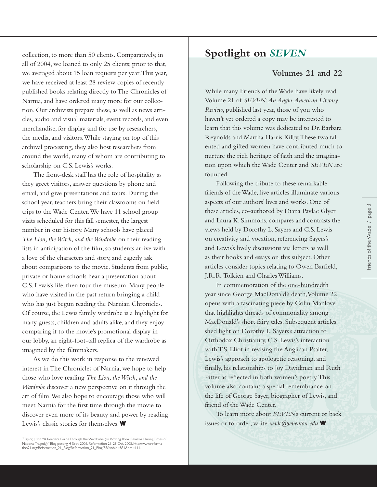collection, to more than 50 clients. Comparatively, in all of 2004, we loaned to only 25 clients; prior to that, we averaged about 15 loan requests per year. This year, we have received at least 28 review copies of recently published books relating directly to The Chronicles of Narnia, and have ordered many more for our collection. Our archivists prepare these, as well as news articles, audio and visual materials, event records, and even merchandise, for display and for use by researchers, the media, and visitors. While staying on top of this archival processing, they also host researchers from around the world, many of whom are contributing to scholarship on C.S. Lewis's works.

The front-desk staff has the role of hospitality as they greet visitors, answer questions by phone and email, and give presentations and tours. During the school year, teachers bring their classrooms on field trips to the Wade Center. We have 11 school group visits scheduled for this fall semester, the largest number in our history. Many schools have placed *The Lion, the Witch, and the Wardrobe* on their reading lists in anticipation of the film, so students arrive with a love of the characters and story, and eagerly ask about comparisons to the movie. Students from public, private or home schools hear a presentation about C.S. Lewis's life, then tour the museum. Many people who have visited in the past return bringing a child who has just begun reading the Narnian Chronicles. Of course, the Lewis family wardrobe is a highlight for many guests, children and adults alike, and they enjoy comparing it to the movie's promotional display in our lobby, an eight-foot-tall replica of the wardrobe as imagined by the filmmakers.

As we do this work in response to the renewed interest in The Chronicles of Narnia, we hope to help those who love reading *The Lion, the Witch, and the Wardrobe* discover a new perspective on it through the art of film. We also hope to encourage those who will meet Narnia for the first time through the movie to discover even more of its beauty and power by reading Lewis's classic stories for themselves. **W**

1Taylor, Justin.''A Reader's Guide Through the Wardrobe (or Writing Book Reviews During Times of<br>National Tragedy).'' Blog posting. 4 Sept. 2005. Reformation 21. 28 Oct. 2005. http://www.reforma-<br>tion21.org/Reformation\_21\_

### *SEVEN* **Spotlight on**

#### **Volumes 21 and 22**

While many Friends of the Wade have likely read Volume 21 of *SEVEN: An Anglo-American Literary Review* , published last year, those of you who haven't yet ordered a copy may be interested to learn that this volume was dedicated to Dr. Barbara Reynolds and Martha Harris Kilby. These two talented and gifted women have contributed much to nurture the rich heritage of faith and the imagination upon which the Wade Center and *SEVEN* are founded.

Following the tribute to these remarkable friends of the Wade, five articles illuminate various aspects of our authors' lives and works. One of these articles, co-authored by Diana Pavlac Glyer and Laura K. Simmons, compares and contrasts the views held by Dorothy L. Sayers and C.S. Lewis on creativity and vocation, referencing Sayers's and Lewis's lively discussions via letters as well as their books and essays on this subject. Other articles consider topics relating to Owen Barfield, J.R.R. Tolkien and Charles Williams.

In commemoration of the one-hundredth year since George MacDonald's death, Volume 22 opens with a fascinating piece by Colin Manlove that highlights threads of commonality among MacDonald's short fairy tales. Subsequent articles shed light on Dorothy L. Sayers's attraction to Orthodox Christianity, C.S. Lewis's interaction with T.S. Eliot in revising the Anglican Psalter, Lewis's approach to apologetic reasoning, and finally, his relationships to Joy Davidman and Ruth Pitter as reflected in both women's poetry. This volume also contains a special remembrance on the life of George Sayer, biographer of Lewis, and friend of the Wade Center.

To learn more about *SEVEN* 's current or back issues or to order, write *wade@wheaton.edu* **W**